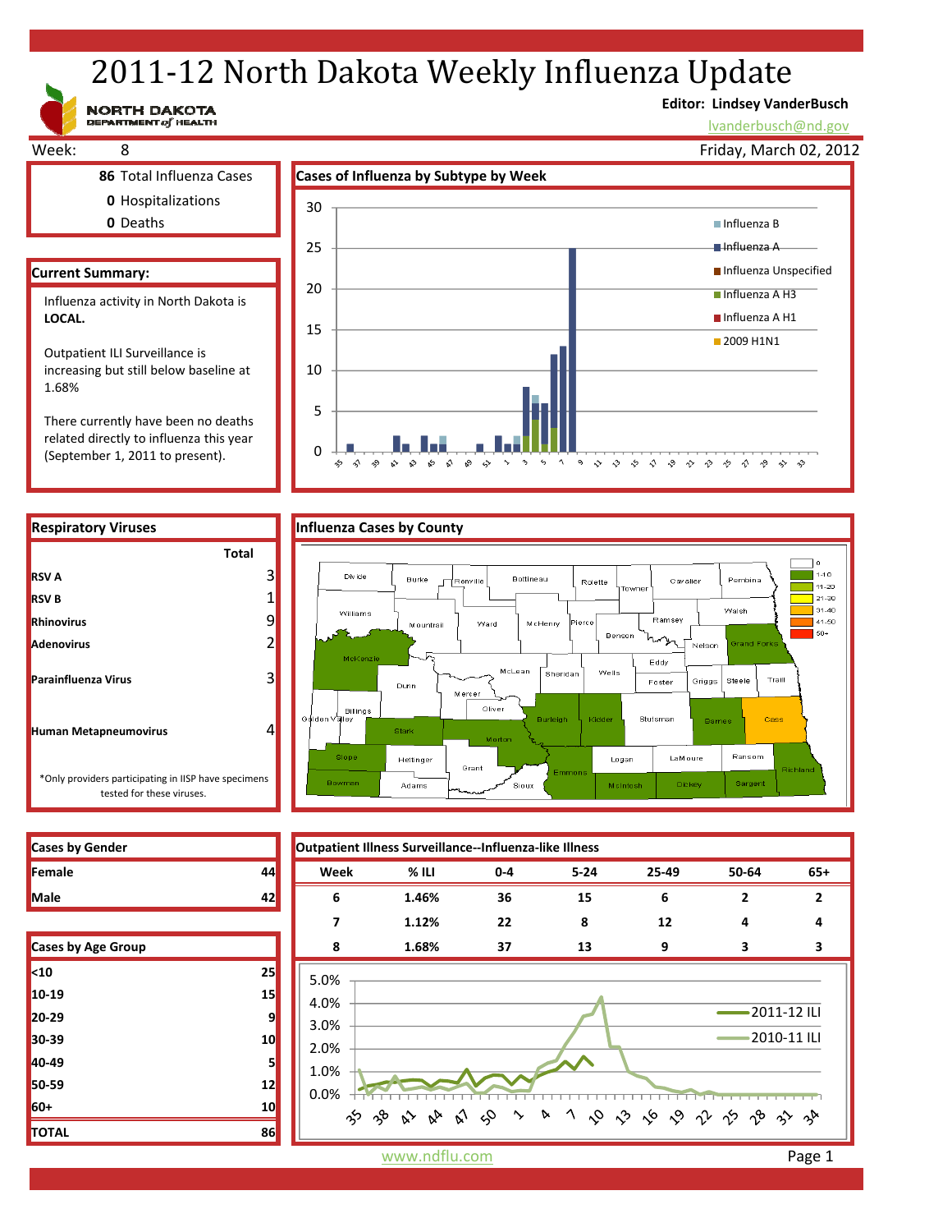# 2011-12 North Dakota Weekly Influenza Update

**Editor: Lindsey VanderBusch**

lvanderbusch@nd.gov

Friday, March 02, 2012





- 
- **0** Hospitalizations
- **0** Deaths

### **Current Summary:**

**RSV A**

**RSV B Rhinovirus Adenovirus**

**Parainfluenza Virus**

**Human Metapneumovirus**

Influenza activity in North Dakota is LOCAL.

Outpatient ILI Surveillance is increasing but still below baseline at 1.68%

There currently have been no deaths related directly to influenza this year (September 1, 2011 to present).





| <b>Cases by Gender</b> |  |
|------------------------|--|
| <b>IFemale</b>         |  |
| <b>Male</b>            |  |

| <b>Cases by Age Group</b> |    |
|---------------------------|----|
| $10$                      | 25 |
| 10-19                     | 15 |
| 20-29                     | 9  |
| 30-39                     | 10 |
| 40-49                     | 5  |
| 50-59                     | 12 |
| 60+                       | 10 |
| <b>TOTAL</b>              | 86 |



www.ndflu.com **Page 1**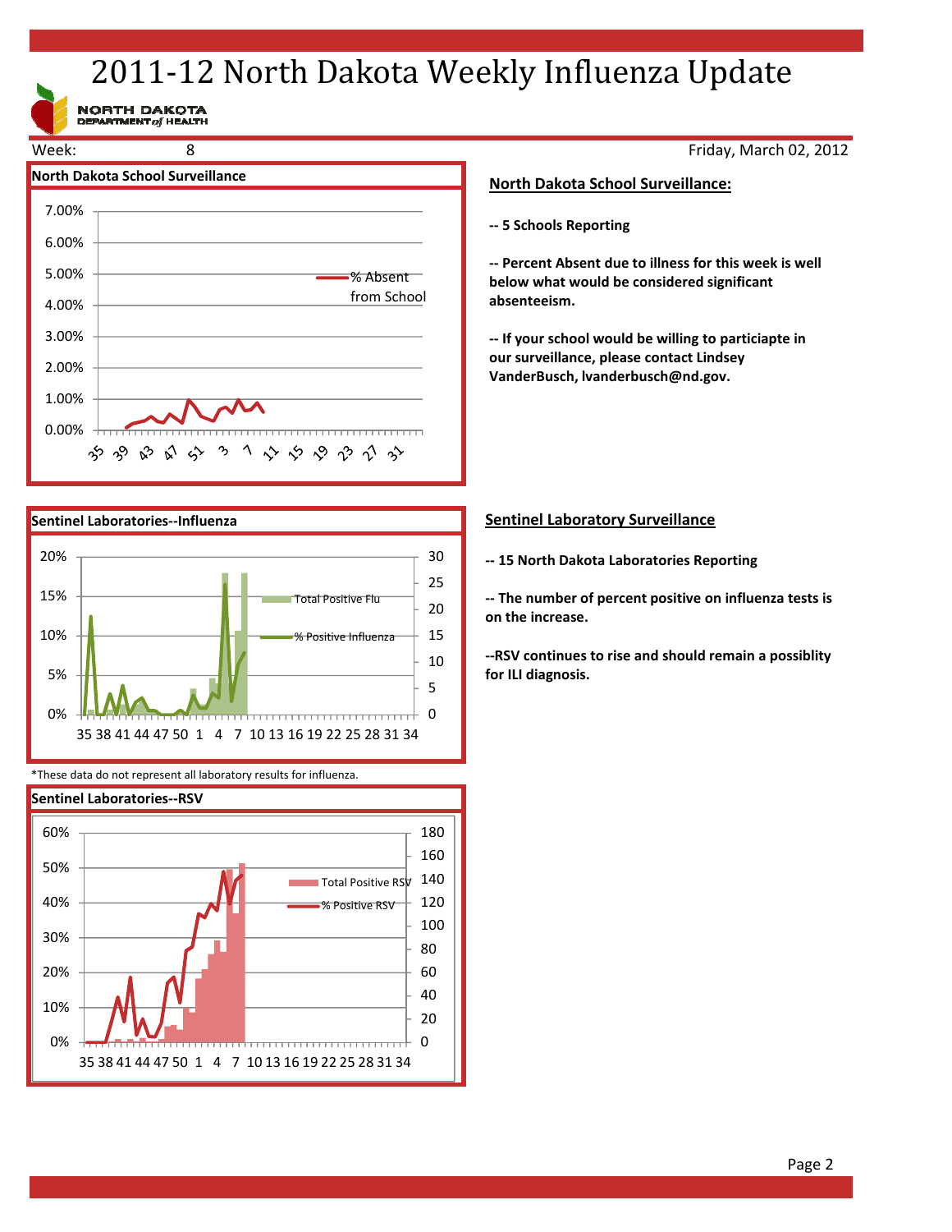## 2011-12 North Dakota Weekly Influenza Update

NORTH DAKOTA<br>DEPARTMENT of HEALTH





\*These data do not represent all laboratory results for influenza.



Friday, March 02, 2012

#### **North Dakota School Surveillance:**

**‐‐ 5 Schools Reporting**

**‐‐ Percent Absent due to illness for this week is well below what would be considered significant absenteeism.**

**‐‐ If your school would be willing to particiapte in our surveillance, please contact Lindsey VanderBusch, lvanderbusch@nd.gov.**

#### **Sentinel Laboratory Surveillance**

**‐‐ 15 North Dakota Laboratories Reporting**

**‐‐ The number of percent positive on influenza tests is on the increase.**

**‐‐RSV continues to rise and should remain a possiblity for ILI diagnosis.**